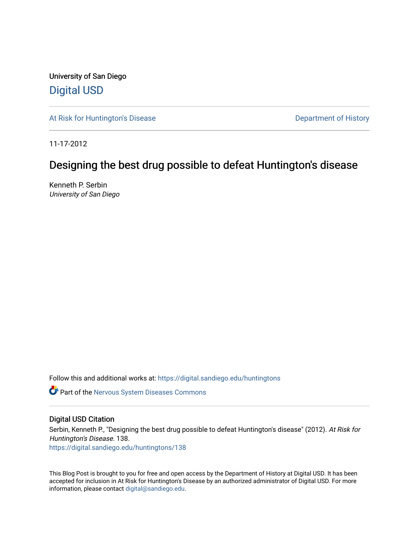University of San Diego [Digital USD](https://digital.sandiego.edu/)

[At Risk for Huntington's Disease](https://digital.sandiego.edu/huntingtons) **Department of History** Department of History

11-17-2012

## Designing the best drug possible to defeat Huntington's disease

Kenneth P. Serbin University of San Diego

Follow this and additional works at: [https://digital.sandiego.edu/huntingtons](https://digital.sandiego.edu/huntingtons?utm_source=digital.sandiego.edu%2Fhuntingtons%2F138&utm_medium=PDF&utm_campaign=PDFCoverPages)

**Part of the [Nervous System Diseases Commons](http://network.bepress.com/hgg/discipline/928?utm_source=digital.sandiego.edu%2Fhuntingtons%2F138&utm_medium=PDF&utm_campaign=PDFCoverPages)** 

## Digital USD Citation

Serbin, Kenneth P., "Designing the best drug possible to defeat Huntington's disease" (2012). At Risk for Huntington's Disease. 138. [https://digital.sandiego.edu/huntingtons/138](https://digital.sandiego.edu/huntingtons/138?utm_source=digital.sandiego.edu%2Fhuntingtons%2F138&utm_medium=PDF&utm_campaign=PDFCoverPages)

This Blog Post is brought to you for free and open access by the Department of History at Digital USD. It has been accepted for inclusion in At Risk for Huntington's Disease by an authorized administrator of Digital USD. For more information, please contact [digital@sandiego.edu.](mailto:digital@sandiego.edu)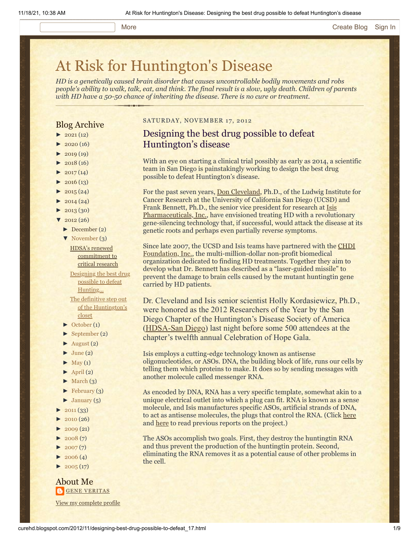#### More **[Create Blog](https://www.blogger.com/home#create) [Sign In](https://www.blogger.com/)**

# [At Risk for Huntington's Disease](http://curehd.blogspot.com/)

*HD is a genetically caused brain disorder that causes uncontrollable bodily movements and robs people's ability to walk, talk, eat, and think. The final result is a slow, ugly death. Children of parents with HD have a 50-50 chance of inheriting the disease. There is no cure or treatment.*

## Blog Archive

- $\blacktriangleright$  [2021](http://curehd.blogspot.com/2021/) (12)
- $\blacktriangleright$  [2020](http://curehd.blogspot.com/2020/) (16)
- $\blacktriangleright$  [2019](http://curehd.blogspot.com/2019/) (19)
- $\blacktriangleright$  [2018](http://curehd.blogspot.com/2018/) (16)
- $2017(14)$  $2017(14)$
- $2016(13)$  $2016(13)$
- $\blacktriangleright$  [2015](http://curehd.blogspot.com/2015/) (24)
- $\blacktriangleright$  [2014](http://curehd.blogspot.com/2014/) (24)
- $\blacktriangleright$  [2013](http://curehd.blogspot.com/2013/) (30)
- $\sqrt{2012(26)}$  $\sqrt{2012(26)}$  $\sqrt{2012(26)}$ 
	- [►](javascript:void(0)) [December](http://curehd.blogspot.com/2012/12/) (2)
	- [▼](javascript:void(0)) [November](http://curehd.blogspot.com/2012/11/) (3)

HDSA's renewed [commitment](http://curehd.blogspot.com/2012/11/hdsas-renewed-commitment-to-critical.html) to critical research Designing the best drug possible to defeat [Hunting...](http://curehd.blogspot.com/2012/11/designing-best-drug-possible-to-defeat_17.html) The definitive step out of the [Huntington's](http://curehd.blogspot.com/2012/11/the-definitive-step-out-of-huntingtons.html) closet

- [►](javascript:void(0)) [October](http://curehd.blogspot.com/2012/10/) (1)
- [►](javascript:void(0)) [September](http://curehd.blogspot.com/2012/09/) (2)
- $\blacktriangleright$  [August](http://curehd.blogspot.com/2012/08/) (2)
- $\blacktriangleright$  [June](http://curehd.blogspot.com/2012/06/) (2)
- $\blacktriangleright$  [May](http://curehd.blogspot.com/2012/05/) (1)
- $\blacktriangleright$  [April](http://curehd.blogspot.com/2012/04/) (2)
- $\blacktriangleright$  [March](http://curehd.blogspot.com/2012/03/) (3)
- $\blacktriangleright$  [February](http://curehd.blogspot.com/2012/02/) (3)
- $\blacktriangleright$  [January](http://curehd.blogspot.com/2012/01/) (5)
- $-2011(33)$  $-2011(33)$  $-2011(33)$
- $2010(26)$  $2010(26)$
- $2009(21)$  $2009(21)$
- $2008(7)$  $2008(7)$
- $2007(7)$  $2007(7)$
- $\blacktriangleright$  [2006](http://curehd.blogspot.com/2006/) (4)
- $\blacktriangleright$  [2005](http://curehd.blogspot.com/2005/) (17)

### About Me **GENE [VERITAS](https://www.blogger.com/profile/10911736205741688185)**

View my [complete](https://www.blogger.com/profile/10911736205741688185) profile

### SATURDAY, NOVEMBER 17, 2012

## Designing the best drug possible to defeat Huntington's disease

With an eye on starting a clinical trial possibly as early as 2014, a scientific team in San Diego is painstakingly working to design the best drug possible to defeat Huntington's disease.

For the past seven years, [Don Cleveland](http://cmm.ucsd.edu/cleveland/About_Dr._Cleveland.html), Ph.D., of the Ludwig Institute for Cancer Research at the University of California San Diego (UCSD) and Frank Bennett, Ph.D., the senior vice president for research at Isis Pharmaceuticals, Inc., [have envisioned treating HD with a revoluti](http://www.isispharm.com/index.htm)onary gene-silencing technology that, if successful, would attack the disease at its genetic roots and perhaps even partially reverse symptoms.

[Since late 2007, the UCSD and Isis teams have partnered with](http://www.chdifoundation.org/) the CHDI Foundation, Inc., the multi-million-dollar non-profit biomedical organization dedicated to finding HD treatments. Together they aim to develop what Dr. Bennett has described as a "laser-guided missile" to prevent the damage to brain cells caused by the mutant huntingtin gene carried by HD patients.

Dr. Cleveland and Isis senior scientist Holly Kordasiewicz, Ph.D., were honored as the 2012 Researchers of the Year by the San Diego Chapter of the Huntington's Disease Society of America ([HDSA-San Diego\)](http://www.hdsasandiego.org/) last night before some 500 attendees at the chapter's twelfth annual Celebration of Hope Gala.

Isis employs a cutting-edge technology known as antisense oligonucleotides, or ASOs. DNA, the building block of life, runs our cells by telling them which proteins to make. It does so by sending messages with another molecule called messenger RNA.

As encoded by DNA, RNA has a very specific template, somewhat akin to a unique electrical outlet into which a plug can fit. RNA is known as a sense molecule, and Isis manufactures specific ASOs, artificial strands of DNA, to act as antisense molecules, the plugs that control the RNA. (Click [here](http://www.hdsasandiego.org/aev-3.aspx) and [here](http://www.hdsasandiego.org/aev-41.aspx) to read previous reports on the project.)

The ASOs accomplish two goals. First, they destroy the huntingtin RNA and thus prevent the production of the huntingtin protein. Second, eliminating the RNA removes it as a potential cause of other problems in the cell.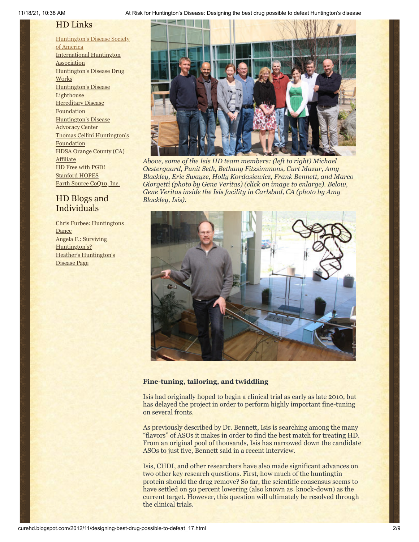## HD Links

[Huntington's](http://www.hdsa.org/) Disease Society of America [International](http://www.huntington-assoc.com/) Huntington **Association** [Huntington's](http://hddrugworks.org/) Disease Drug **Works** [Huntington's](http://www.hdlighthouse.org/) Disease **Lighthouse Hereditary Disease [Foundation](http://www.hdfoundation.org/)** [Huntington's](http://www.hdac.org/) Disease Advocacy Center Thomas [Cellini Huntington's](http://www.ourtchfoundation.org/) **Foundation** HDSA Orange County (CA) **[Affiliate](http://www.hdsaoc.org/)** HD Free with [PGD!](http://www.hdfreewithpgd.com/) [Stanford](http://www.stanford.edu/group/hopes/) HOPES Earth Source [CoQ10,](http://www.escoq10.com/) Inc.

## HD Blogs and Individuals

Chris Furbee: [Huntingtons](http://www.huntingtonsdance.org/) **Dance** Angela F.: Surviving [Huntington's?](http://survivinghuntingtons.blogspot.com/) Heather's [Huntington's](http://heatherdugdale.angelfire.com/) Disease Page



*Above, some of the Isis HD team members: (left to right) Michael Oestergaard, Punit Seth, Bethany Fitzsimmons, Curt Mazur, Amy Blackley, Eric Swayze, Holly Kordasiewicz, Frank Bennett, and Marco Giorgetti (photo by Gene Veritas) (click on image to enlarge). Below, Gene Veritas inside the Isis facility in Carlsbad, CA (photo by Amy Blackley, Isis).*



## **Fine-tuning, tailoring, and twiddling**

Isis had originally hoped to begin a clinical trial as early as late 2010, but has delayed the project in order to perform highly important fine-tuning on several fronts.

As previously described by Dr. Bennett, Isis is searching among the many "flavors" of ASOs it makes in order to find the best match for treating HD. From an original pool of thousands, Isis has narrowed down the candidate ASOs to just five, Bennett said in a recent interview.

Isis, CHDI, and other researchers have also made significant advances on two other key research questions. First, how much of the huntingtin protein should the drug remove? So far, the scientific consensus seems to have settled on 50 percent lowering (also known as knock-down) as the current target. However, this question will ultimately be resolved through the clinical trials.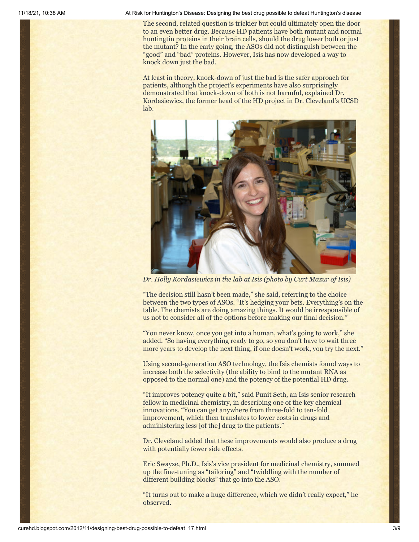The second, related question is trickier but could ultimately open the door to an even better drug. Because HD patients have both mutant and normal huntingtin proteins in their brain cells, should the drug lower both or just the mutant? In the early going, the ASOs did not distinguish between the "good" and "bad" proteins. However, Isis has now developed a way to knock down just the bad.

At least in theory, knock-down of just the bad is the safer approach for patients, although the project's experiments have also surprisingly demonstrated that knock-down of both is not harmful, explained Dr. Kordasiewicz, the former head of the HD project in Dr. Cleveland's UCSD lab.



*Dr. Holly Kordasiewicz in the lab at Isis (photo by Curt Mazur of Isis)*

"The decision still hasn't been made," she said, referring to the choice between the two types of ASOs. "It's hedging your bets. Everything's on the table. The chemists are doing amazing things. It would be irresponsible of us not to consider all of the options before making our final decision."

"You never know, once you get into a human, what's going to work," she added. "So having everything ready to go, so you don't have to wait three more years to develop the next thing, if one doesn't work, you try the next."

Using second-generation ASO technology, the Isis chemists found ways to increase both the selectivity (the ability to bind to the mutant RNA as opposed to the normal one) and the potency of the potential HD drug.

"It improves potency quite a bit," said Punit Seth, an Isis senior research fellow in medicinal chemistry, in describing one of the key chemical innovations. "You can get anywhere from three-fold to ten-fold improvement, which then translates to lower costs in drugs and administering less [of the] drug to the patients."

Dr. Cleveland added that these improvements would also produce a drug with potentially fewer side effects.

Eric Swayze, Ph.D., Isis's vice president for medicinal chemistry, summed up the fine-tuning as "tailoring" and "twiddling with the number of different building blocks" that go into the ASO.

"It turns out to make a huge difference, which we didn't really expect," he observed.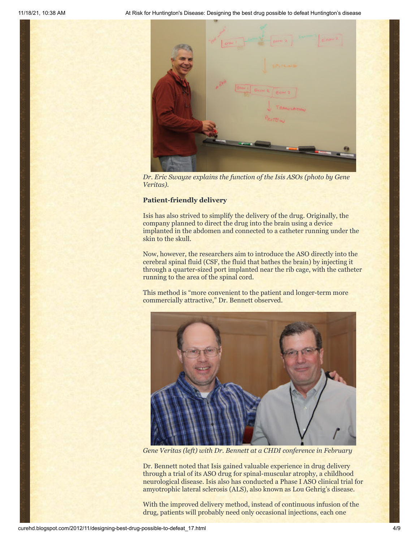

*Dr. Eric Swayze explains the function of the Isis ASOs (photo by Gene Veritas).*

## **Patient-friendly delivery**

Isis has also strived to simplify the delivery of the drug. Originally, the company planned to direct the drug into the brain using a device implanted in the abdomen and connected to a catheter running under the skin to the skull.

Now, however, the researchers aim to introduce the ASO directly into the cerebral spinal fluid (CSF, the fluid that bathes the brain) by injecting it through a quarter-sized port implanted near the rib cage, with the catheter running to the area of the spinal cord.

This method is "more convenient to the patient and longer-term more commercially attractive," Dr. Bennett observed.



*Gene Veritas (left) with Dr. Bennett at a CHDI conference in February*

Dr. Bennett noted that Isis gained valuable experience in drug delivery through a trial of its ASO drug for spinal-muscular atrophy, a childhood neurological disease. Isis also has conducted a Phase I ASO clinical trial for amyotrophic lateral sclerosis (ALS), also known as Lou Gehrig's disease.

With the improved delivery method, instead of continuous infusion of the drug, patients will probably need only occasional injections, each one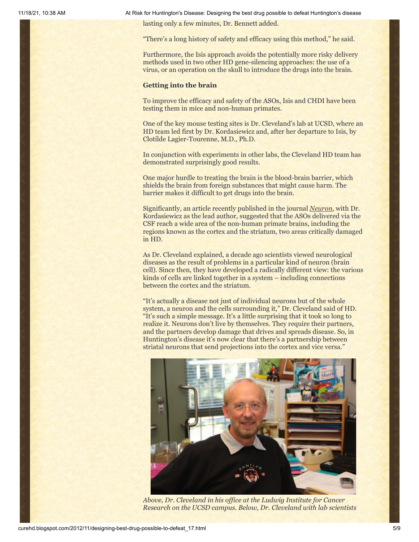lasting only a few minutes, Dr. Bennett added.

"There's a long history of safety and efficacy using this method," he said.

Furthermore, the Isis approach avoids the potentially more risky delivery methods used in two other HD gene-silencing approaches: the use of a virus, or an operation on the skull to introduce the drugs into the brain.

#### **Getting into the brain**

To improve the efficacy and safety of the ASOs, Isis and CHDI have been testing them in mice and non-human primates.

One of the key mouse testing sites is Dr. Cleveland's lab at UCSD, where an HD team led first by Dr. Kordasiewicz and, after her departure to Isis, by Clotilde Lagier-Tourenne, M.D., Ph.D.

In conjunction with experiments in other labs, the Cleveland HD team has demonstrated surprisingly good results.

One major hurdle to treating the brain is the blood-brain barrier, which shields the brain from foreign substances that might cause harm. The barrier makes it difficult to get drugs into the brain.

Significantly, an article recently published in the journal *[Neuron,](http://www.ncbi.nlm.nih.gov/pubmed/22726834)* with Dr. Kordasiewicz as the lead author, suggested that the ASOs delivered via the CSF reach a wide area of the non-human primate brains, including the regions known as the cortex and the striatum, two areas critically damaged in HD.

As Dr. Cleveland explained, a decade ago scientists viewed neurological diseases as the result of problems in a particular kind of neuron (brain cell). Since then, they have developed a radically different view: the various kinds of cells are linked together in a system – including connections between the cortex and the striatum.

"It's actually a disease not just of individual neurons but of the whole system, a neuron and the cells surrounding it," Dr. Cleveland said of HD. "It's such a simple message. It's a little surprising that it took so long to realize it. Neurons don't live by themselves. They require their partners, and the partners develop damage that drives and spreads disease. So, in Huntington's disease it's now clear that there's a partnership between striatal neurons that send projections into the cortex and vice versa."



*Above, Dr. Cleveland in his office at the Ludwig Institute for Cancer Research on the UCSD campus. Below, Dr. Cleveland with lab scientists*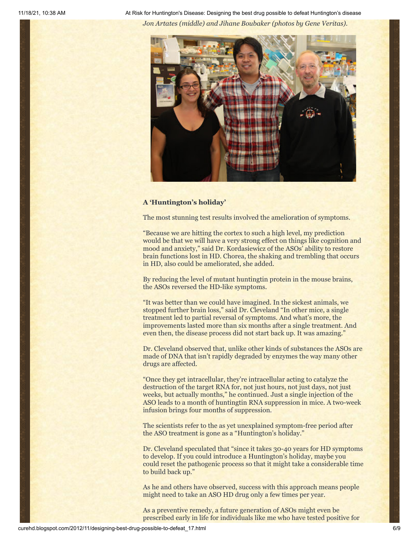11/18/21, 10:38 AM At Risk for Huntington's Disease: Designing the best drug possible to defeat Huntington's disease *Jon Artates (middle) and Jihane Boubaker (photos by Gene Veritas).*



## **A 'Huntington's holiday'**

The most stunning test results involved the amelioration of symptoms.

"Because we are hitting the cortex to such a high level, my prediction would be that we will have a very strong effect on things like cognition and mood and anxiety," said Dr. Kordasiewicz of the ASOs' ability to restore brain functions lost in HD. Chorea, the shaking and trembling that occurs in HD, also could be ameliorated, she added.

By reducing the level of mutant huntingtin protein in the mouse brains, the ASOs reversed the HD-like symptoms.

"It was better than we could have imagined. In the sickest animals, we stopped further brain loss," said Dr. Cleveland "In other mice, a single treatment led to partial reversal of symptoms. And what's more, the improvements lasted more than six months after a single treatment. And even then, the disease process did not start back up. It was amazing."

Dr. Cleveland observed that, unlike other kinds of substances the ASOs are made of DNA that isn't rapidly degraded by enzymes the way many other drugs are affected.

"Once they get intracellular, they're intracellular acting to catalyze the destruction of the target RNA for, not just hours, not just days, not just weeks, but actually months," he continued. Just a single injection of the ASO leads to a month of huntingtin RNA suppression in mice. A two-week infusion brings four months of suppression.

The scientists refer to the as yet unexplained symptom-free period after the ASO treatment is gone as a "Huntington's holiday."

Dr. Cleveland speculated that "since it takes 30-40 years for HD symptoms to develop. If you could introduce a Huntington's holiday, maybe you could reset the pathogenic process so that it might take a considerable time to build back up."

As he and others have observed, success with this approach means people might need to take an ASO HD drug only a few times per year.

As a preventive remedy, a future generation of ASOs might even be prescribed early in life for individuals like me who have tested positive for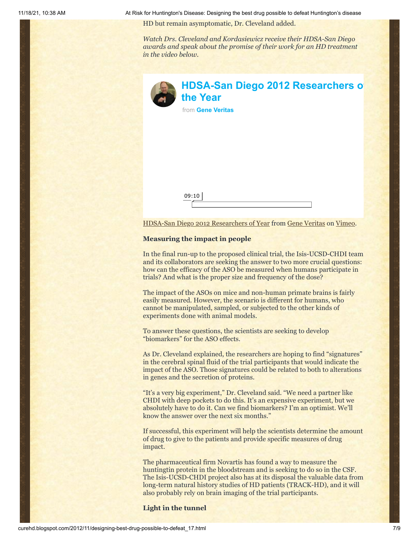HD but remain asymptomatic, Dr. Cleveland added.

*Watch Drs. Cleveland and Kordasiewicz receive their HDSA-San Diego awards and speak about the promise of their work for an HD treatment in the video below.*

| <b>HDSA-San Diego 2012 Researchers o</b><br>the Year<br>from Gene Veritas |
|---------------------------------------------------------------------------|
|                                                                           |
|                                                                           |
| 09:10                                                                     |
| HDSA-San Diego 2012 Researchers of Year from Gene Veritas on Vimeo.       |

## **Measuring the impact in people**

In the final run-up to the proposed clinical trial, the Isis-UCSD-CHDI team and its collaborators are seeking the answer to two more crucial questions: how can the efficacy of the ASO be measured when humans participate in trials? And what is the proper size and frequency of the dose?

The impact of the ASOs on mice and non-human primate brains is fairly easily measured. However, the scenario is different for humans, who cannot be manipulated, sampled, or subjected to the other kinds of experiments done with animal models.

To answer these questions, the scientists are seeking to develop "biomarkers" for the ASO effects.

As Dr. Cleveland explained, the researchers are hoping to find "signatures" in the cerebral spinal fluid of the trial participants that would indicate the impact of the ASO. Those signatures could be related to both to alterations in genes and the secretion of proteins.

"It's a very big experiment," Dr. Cleveland said. "We need a partner like CHDI with deep pockets to do this. It's an expensive experiment, but we absolutely have to do it. Can we find biomarkers? I'm an optimist. We'll know the answer over the next six months."

If successful, this experiment will help the scientists determine the amount of drug to give to the patients and provide specific measures of drug impact.

The pharmaceutical firm Novartis has found a way to measure the huntingtin protein in the bloodstream and is seeking to do so in the CSF. The Isis-UCSD-CHDI project also has at its disposal the valuable data from long-term natural history studies of HD patients (TRACK-HD), and it will also probably rely on brain imaging of the trial participants.

**Light in the tunnel**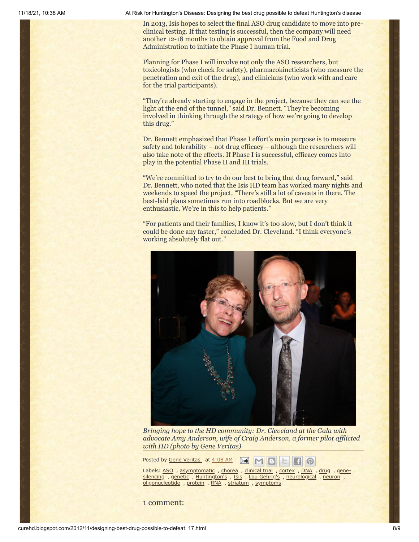In 2013, Isis hopes to select the final ASO drug candidate to move into preclinical testing. If that testing is successful, then the company will need another 12-18 months to obtain approval from the Food and Drug Administration to initiate the Phase I human trial.

Planning for Phase I will involve not only the ASO researchers, but toxicologists (who check for safety), pharmacokineticists (who measure the penetration and exit of the drug), and clinicians (who work with and care for the trial participants).

"They're already starting to engage in the project, because they can see the light at the end of the tunnel," said Dr. Bennett. "They're becoming involved in thinking through the strategy of how we're going to develop this drug."

Dr. Bennett emphasized that Phase I effort's main purpose is to measure safety and tolerability – not drug efficacy – although the researchers will also take note of the effects. If Phase I is successful, efficacy comes into play in the potential Phase II and III trials.

"We're committed to try to do our best to bring that drug forward," said Dr. Bennett, who noted that the Isis HD team has worked many nights and weekends to speed the project. "There's still a lot of caveats in there. The best-laid plans sometimes run into roadblocks. But we are very enthusiastic. We're in this to help patients."

"For patients and their families, I know it's too slow, but I don't think it could be done any faster," concluded Dr. Cleveland. "I think everyone's working absolutely flat out."



*Bringing hope to the HD community: Dr. Cleveland at the Gala with advocate Amy Anderson, wife of Craig Anderson, a former pilot afflicted with HD (photo by Gene Veritas)*

က

Posted by Gene [Veritas](https://www.blogger.com/profile/03599828959793084715) at [4:08](http://curehd.blogspot.com/2012/11/designing-best-drug-possible-to-defeat_17.html) AM  $\geq 1$  $M$ 

Labels: [ASO](http://curehd.blogspot.com/search/label/ASO) , [a](http://curehd.blogspot.com/search/label/gene-silencing)[symptomatic](http://curehd.blogspot.com/search/label/asymptomatic) , [chorea](http://curehd.blogspot.com/search/label/chorea) , [clinical](http://curehd.blogspot.com/search/label/clinical%20trial) trial , [cortex](http://curehd.blogspot.com/search/label/cortex) , [DNA](http://curehd.blogspot.com/search/label/DNA) , [drug](http://curehd.blogspot.com/search/label/drug) , genesilencing , [genetic](http://curehd.blogspot.com/search/label/genetic) , [Huntington's](http://curehd.blogspot.com/search/label/Huntington%27s) , [Isis](http://curehd.blogspot.com/search/label/Isis) , Lou [Gehrig's](http://curehd.blogspot.com/search/label/Lou%20Gehrig%27s) , [neurological](http://curehd.blogspot.com/search/label/neurological) , [neuron](http://curehd.blogspot.com/search/label/neuron) , [oligonucleotide](http://curehd.blogspot.com/search/label/oligonucleotide) , [protein](http://curehd.blogspot.com/search/label/protein) , [RNA](http://curehd.blogspot.com/search/label/RNA) , [striatum](http://curehd.blogspot.com/search/label/striatum) , [symptoms](http://curehd.blogspot.com/search/label/symptoms)

1 comment: